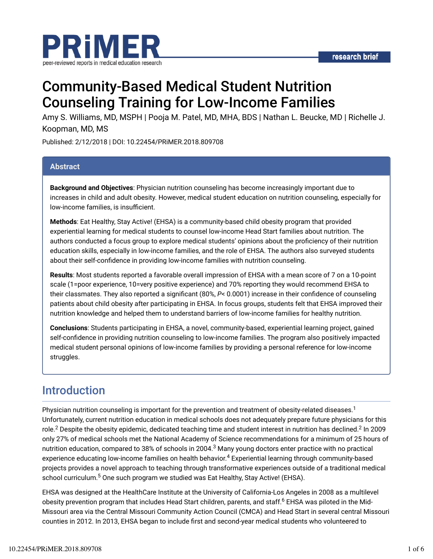



# Community-Based Medical Student Nutrition Counseling Training for Low-Income Families

Amy S. Williams, MD, MSPH | Pooja M. Patel, MD, MHA, BDS | Nathan L. Beucke, MD | Richelle J. Koopman, MD, MS

Published: 2/12/2018 | DOI: 10.22454/PRiMER.2018.809708

#### **Abstract**

**Background and Objectives**: Physician nutrition counseling has become increasingly important due to increases in child and adult obesity. However, medical student education on nutrition counseling, especially for low-income families, is insufficient.

**Methods**: Eat Healthy, Stay Active! (EHSA) is a community-based child obesity program that provided experiential learning for medical students to counsel low-income Head Start families about nutrition. The authors conducted a focus group to explore medical students' opinions about the proficiency of their nutrition education skills, especially in low-income families, and the role of EHSA. The authors also surveyed students about their self-confidence in providing low-income families with nutrition counseling.

**Results**: Most students reported a favorable overall impression of EHSA with a mean score of 7 on a 10-point scale (1=poor experience, 10=very positive experience) and 70% reporting they would recommend EHSA to their classmates. They also reported a significant (80%, *P*< 0.0001) increase in their confidence of counseling patients about child obesity after participating in EHSA. In focus groups, students felt that EHSA improved their nutrition knowledge and helped them to understand barriers of low-income families for healthy nutrition.

**Conclusions**: Students participating in EHSA, a novel, community-based, experiential learning project, gained self-confidence in providing nutrition counseling to low-income families. The program also positively impacted medical student personal opinions of low-income families by providing a personal reference for low-income struggles.

## Introduction

Physician nutrition counseling is important for the prevention and treatment of obesity-related diseases. $^{\rm 1}$ Unfortunately, current nutrition education in medical schools does not adequately prepare future physicians for this role. $^2$  Despite the obesity epidemic, dedicated teaching time and student interest in nutrition has declined. $^2$  In 2009 only 27% of medical schools met the National Academy of Science recommendations for a minimum of 25 hours of nutrition education, compared to 38% of schools in 2004. $^3$  Many young doctors enter practice with no practical experience educating low-income families on health behavior.<sup>4</sup> Experiential learning through community-based projects provides a novel approach to teaching through transformative experiences outside of a traditional medical school curriculum.<sup>5</sup> One such program we studied was Eat Healthy, Stay Active! (EHSA).

EHSA was designed at the HealthCare Institute at the University of California-Los Angeles in 2008 as a multilevel obesity prevention program that includes Head Start children, parents, and staff.<sup>6</sup> EHSA was piloted in the Mid-Missouri area via the Central Missouri Community Action Council (CMCA) and Head Start in several central Missouri counties in 2012. In 2013, EHSA began to include first and second-year medical students who volunteered to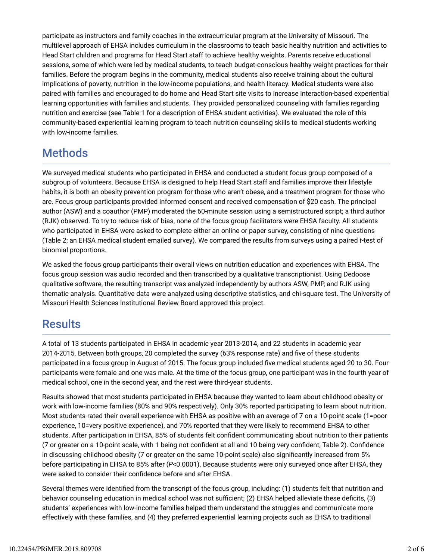participate as instructors and family coaches in the extracurricular program at the University of Missouri. The multilevel approach of EHSA includes curriculum in the classrooms to teach basic healthy nutrition and activities to Head Start children and programs for Head Start staff to achieve healthy weights. Parents receive educational sessions, some of which were led by medical students, to teach budget-conscious healthy weight practices for their families. Before the program begins in the community, medical students also receive training about the cultural implications of poverty, nutrition in the low-income populations, and health literacy. Medical students were also paired with families and encouraged to do home and Head Start site visits to increase interaction-based experiential learning opportunities with families and students. They provided personalized counseling with families regarding nutrition and exercise (see Table 1 for a description of EHSA student activities). We evaluated the role of this community-based experiential learning program to teach nutrition counseling skills to medical students working with low-income families.

# **Methods**

We surveyed medical students who participated in EHSA and conducted a student focus group composed of a subgroup of volunteers. Because EHSA is designed to help Head Start staff and families improve their lifestyle habits, it is both an obesity prevention program for those who aren't obese, and a treatment program for those who are. Focus group participants provided informed consent and received compensation of \$20 cash. The principal author (ASW) and a coauthor (PMP) moderated the 60-minute session using a semistructured script; a third author (RJK) observed. To try to reduce risk of bias, none of the focus group facilitators were EHSA faculty. All students who participated in EHSA were asked to complete either an online or paper survey, consisting of nine questions (Table 2; an EHSA medical student emailed survey). We compared the results from surveys using a paired *t*-test of binomial proportions.

We asked the focus group participants their overall views on nutrition education and experiences with EHSA. The focus group session was audio recorded and then transcribed by a qualitative transcriptionist. Using Dedoose qualitative software, the resulting transcript was analyzed independently by authors ASW, PMP, and RJK using thematic analysis. Quantitative data were analyzed using descriptive statistics, and chi-square test. The University of Missouri Health Sciences Institutional Review Board approved this project.

## **Results**

A total of 13 students participated in EHSA in academic year 2013-2014, and 22 students in academic year 2014-2015. Between both groups, 20 completed the survey (63% response rate) and five of these students participated in a focus group in August of 2015. The focus group included ^ve medical students aged 20 to 30. Four participants were female and one was male. At the time of the focus group, one participant was in the fourth year of medical school, one in the second year, and the rest were third-year students.

Results showed that most students participated in EHSA because they wanted to learn about childhood obesity or work with low-income families (80% and 90% respectively). Only 30% reported participating to learn about nutrition. Most students rated their overall experience with EHSA as positive with an average of 7 on a 10-point scale (1=poor experience, 10=very positive experience), and 70% reported that they were likely to recommend EHSA to other students. After participation in EHSA, 85% of students felt confident communicating about nutrition to their patients (7 or greater on a 10-point scale, with 1 being not confident at all and 10 being very confident; Table 2). Confidence in discussing childhood obesity (7 or greater on the same 10-point scale) also significantly increased from 5% before participating in EHSA to 85% after (*P*<0.0001). Because students were only surveyed once after EHSA, they were asked to consider their confidence before and after EHSA.

Several themes were identified from the transcript of the focus group, including: (1) students felt that nutrition and behavior counseling education in medical school was not sufficient; (2) EHSA helped alleviate these deficits, (3) students' experiences with low-income families helped them understand the struggles and communicate more effectively with these families, and (4) they preferred experiential learning projects such as EHSA to traditional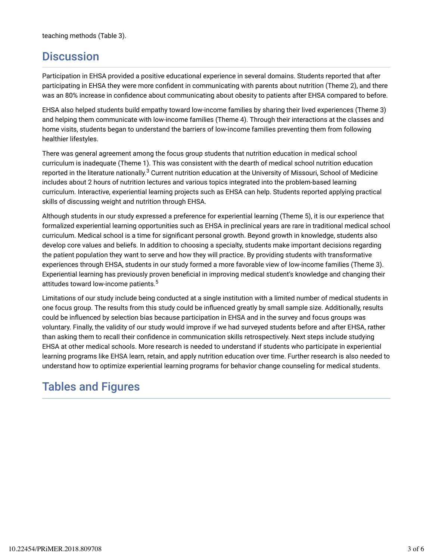## **Discussion**

Participation in EHSA provided a positive educational experience in several domains. Students reported that after participating in EHSA they were more confident in communicating with parents about nutrition (Theme 2), and there was an 80% increase in confidence about communicating about obesity to patients after EHSA compared to before.

EHSA also helped students build empathy toward low-income families by sharing their lived experiences (Theme 3) and helping them communicate with low-income families (Theme 4). Through their interactions at the classes and home visits, students began to understand the barriers of low-income families preventing them from following healthier lifestyles.

There was general agreement among the focus group students that nutrition education in medical school curriculum is inadequate (Theme 1). This was consistent with the dearth of medical school nutrition education reported in the literature nationally. $^3$  Current nutrition education at the University of Missouri, School of Medicine includes about 2 hours of nutrition lectures and various topics integrated into the problem-based learning curriculum. Interactive, experiential learning projects such as EHSA can help. Students reported applying practical skills of discussing weight and nutrition through EHSA.

Although students in our study expressed a preference for experiential learning (Theme 5), it is our experience that formalized experiential learning opportunities such as EHSA in preclinical years are rare in traditional medical school curriculum. Medical school is a time for significant personal growth. Beyond growth in knowledge, students also develop core values and beliefs. In addition to choosing a specialty, students make important decisions regarding the patient population they want to serve and how they will practice. By providing students with transformative experiences through EHSA, students in our study formed a more favorable view of low-income families (Theme 3). Experiential learning has previously proven beneficial in improving medical student's knowledge and changing their attitudes toward low-income patients. 5

Limitations of our study include being conducted at a single institution with a limited number of medical students in one focus group. The results from this study could be influenced greatly by small sample size. Additionally, results could be influenced by selection bias because participation in EHSA and in the survey and focus groups was voluntary. Finally, the validity of our study would improve if we had surveyed students before and after EHSA, rather than asking them to recall their confidence in communication skills retrospectively. Next steps include studying EHSA at other medical schools. More research is needed to understand if students who participate in experiential learning programs like EHSA learn, retain, and apply nutrition education over time. Further research is also needed to understand how to optimize experiential learning programs for behavior change counseling for medical students.

# Tables and Figures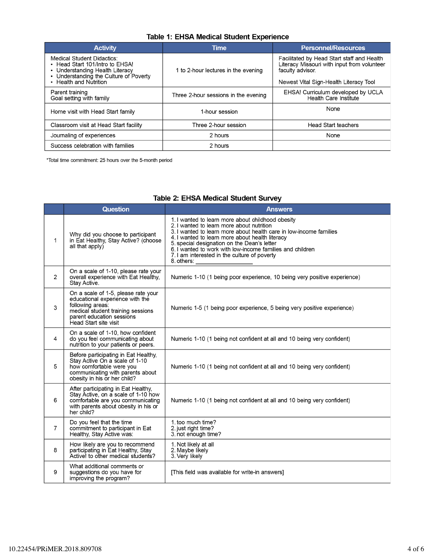| <b>Table 1: EHSA Medical Student Experience</b> |  |
|-------------------------------------------------|--|
|-------------------------------------------------|--|

| <b>Activity</b>                                                                                                                                                    | Time                                 | <b>Personnel/Resources</b>                                                                                                                              |
|--------------------------------------------------------------------------------------------------------------------------------------------------------------------|--------------------------------------|---------------------------------------------------------------------------------------------------------------------------------------------------------|
| Medical Student Didactics:<br>• Head Start 101/Intro to EHSA!<br>Understanding Health Literacy<br>• Understanding the Culture of Poverty<br>• Health and Nutrition | 1 to 2-hour lectures in the evening  | Facilitated by Head Start staff and Health<br>Literacy Missouri with input from volunteer<br>faculty advisor.<br>Newest Vital Sign-Health Literacy Tool |
| Parent training<br>Goal setting with family                                                                                                                        | Three 2-hour sessions in the evening | EHSA! Curriculum developed by UCLA<br>Health Care Institute                                                                                             |
| Home visit with Head Start family                                                                                                                                  | 1-hour session                       | None                                                                                                                                                    |
| Classroom visit at Head Start facility                                                                                                                             | Three 2-hour session                 | <b>Head Start teachers</b>                                                                                                                              |
| Journaling of experiences                                                                                                                                          | 2 hours                              | None                                                                                                                                                    |
| Success celebration with families                                                                                                                                  | 2 hours                              |                                                                                                                                                         |

\*Total time commitment: 25 hours over the 5-month period

#### Table 2: EHSA Medical Student Survey

|                | <b>Question</b>                                                                                                                                                                       | <b>Answers</b>                                                                                                                                                                                                                                                                                                                                                                      |
|----------------|---------------------------------------------------------------------------------------------------------------------------------------------------------------------------------------|-------------------------------------------------------------------------------------------------------------------------------------------------------------------------------------------------------------------------------------------------------------------------------------------------------------------------------------------------------------------------------------|
| 1              | Why did you choose to participant<br>in Eat Healthy, Stay Active? (choose<br>all that apply)                                                                                          | 1. I wanted to learn more about childhood obesity<br>2. I wanted to learn more about nutrition<br>3. I wanted to learn more about health care in low-income families<br>4. I wanted to learn more about health literacy<br>5. special designation on the Dean's letter<br>6. I wanted to work with low-income families and children<br>7. I am interested in the culture of poverty |
| 2              | On a scale of 1-10, please rate your<br>overall experience with Eat Healthy,<br>Stay Active.                                                                                          | Numeric 1-10 (1 being poor experience, 10 being very positive experience)                                                                                                                                                                                                                                                                                                           |
| 3              | On a scale of 1-5, please rate your<br>educational experience with the<br>following areas:<br>medical student training sessions<br>parent education sessions<br>Head Start site visit | Numeric 1-5 (1 being poor experience, 5 being very positive experience)                                                                                                                                                                                                                                                                                                             |
| 4              | On a scale of 1-10, how confident<br>do you feel communicating about<br>nutrition to your patients or peers.                                                                          | Numeric 1-10 (1 being not confident at all and 10 being very confident)                                                                                                                                                                                                                                                                                                             |
| 5              | Before participating in Eat Healthy,<br>Stay Active On a scale of 1-10<br>how comfortable were you<br>communicating with parents about<br>obesity in his or her child?                | Numeric 1-10 (1 being not confident at all and 10 being very confident)                                                                                                                                                                                                                                                                                                             |
| 6              | After participating in Eat Healthy,<br>Stay Active, on a scale of 1-10 how<br>comfortable are you communicating<br>with parents about obesity in his or<br>her child?                 | Numeric 1-10 (1 being not confident at all and 10 being very confident)                                                                                                                                                                                                                                                                                                             |
| $\overline{7}$ | Do you feel that the time<br>commitment to participant in Eat<br>Healthy, Stay Active was:                                                                                            | 1. too much time?<br>2. just right time?<br>3. not enough time?                                                                                                                                                                                                                                                                                                                     |
| 8              | How likely are you to recommend<br>participating in Eat Healthy, Stay<br>Active! to other medical students?                                                                           | 1. Not likely at all<br>2. Maybe likely<br>3. Very likely                                                                                                                                                                                                                                                                                                                           |
| 9              | What additional comments or<br>suggestions do you have for<br>improving the program?                                                                                                  | [This field was available for write-in answers]                                                                                                                                                                                                                                                                                                                                     |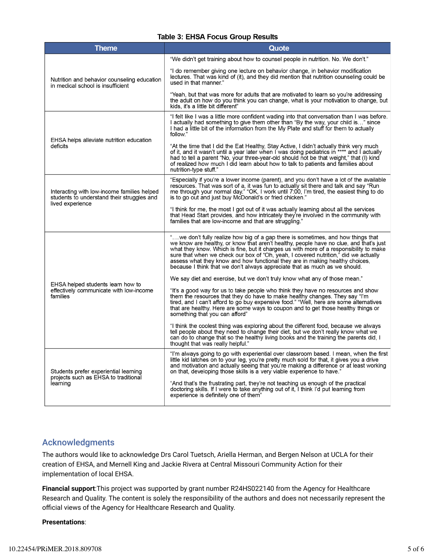#### **Table 3: EHSA Focus Group Results**

| Theme                                                                                                         | Quote                                                                                                                                                                                                                                                                                                                                                                                                                                                                                                                     |
|---------------------------------------------------------------------------------------------------------------|---------------------------------------------------------------------------------------------------------------------------------------------------------------------------------------------------------------------------------------------------------------------------------------------------------------------------------------------------------------------------------------------------------------------------------------------------------------------------------------------------------------------------|
| Nutrition and behavior counseling education<br>in medical school is insufficient                              | "We didn't get training about how to counsel people in nutrition. No. We don't."                                                                                                                                                                                                                                                                                                                                                                                                                                          |
|                                                                                                               | "I do remember giving one lecture on behavior change, in behavior modification<br>lectures. That was kind of (it), and they did mention that nutrition counseling could be<br>used in that manner."                                                                                                                                                                                                                                                                                                                       |
|                                                                                                               | "Yeah, but that was more for adults that are motivated to learn so you're addressing<br>the adult on how do you think you can change, what is your motivation to change, but<br>kids, it's a little bit different"                                                                                                                                                                                                                                                                                                        |
| EHSA helps alleviate nutrition education<br>deficits                                                          | "I felt like I was a little more confident wading into that conversation than I was before.<br>I actually had something to give them other than "By the way, your child is" since<br>I had a little bit of the information from the My Plate and stuff for them to actually<br>follow."                                                                                                                                                                                                                                   |
|                                                                                                               | "At the time that I did the Eat Healthy, Stay Active, I didn't actually think very much<br>of it, and it wasn't until a year later when I was doing pediatrics in **** and I actually<br>had to tell a parent "No, your three-year-old should not be that weight," that (I) kind<br>of realized how much I did learn about how to talk to patients and families about<br>nutrition-type stuff."                                                                                                                           |
| Interacting with low-income families helped<br>students to understand their struggles and<br>lived experience | "Especially if you're a lower income (parent), and you don't have a lot of the available<br>resources. That was sort of a, it was fun to actually sit there and talk and say "Run<br>me through your normal day." "OK, I work until 7:00, I'm tired, the easiest thing to do<br>is to go out and just buy McDonald's or fried chicken."                                                                                                                                                                                   |
|                                                                                                               | "I think for me, the most I got out of it was actually learning about all the services<br>that Head Start provides, and how intricately they're involved in the community with<br>families that are low-income and that are struggling."                                                                                                                                                                                                                                                                                  |
| EHSA helped students learn how to<br>effectively communicate with low-income<br>families                      | "we don't fully realize how big of a gap there is sometimes, and how things that<br>we know are healthy, or know that aren't healthy, people have no clue, and that's just<br>what they know. Which is fine, but it charges us with more of a responsibility to make<br>sure that when we check our box of "Oh, yeah, I covered nutrition," did we actually<br>assess what they know and how functional they are in making healthy choices,<br>because I think that we don't always appreciate that as much as we should. |
|                                                                                                               | We say diet and exercise, but we don't truly know what any of those mean."                                                                                                                                                                                                                                                                                                                                                                                                                                                |
|                                                                                                               | "It's a good way for us to take people who think they have no resources and show<br>them the resources that they do have to make healthy changes. They say "I'm<br>tired, and I can't afford to go buy expensive food." "Well, here are some alternatives<br>that are healthy. Here are some ways to coupon and to get those healthy things or<br>something that you can afford"                                                                                                                                          |
|                                                                                                               | "I think the coolest thing was exploring about the different food, because we always<br>tell people about they need to change their diet, but we don't really know what we<br>can do to change that so the healthy living books and the training the parents did, I<br>thought that was really helpful."                                                                                                                                                                                                                  |
| Students prefer experiential learning<br>projects such as EHSA to traditional<br>learning                     | "I'm always going to go with experiential over classroom based. I mean, when the first<br>little kid latches on to your leg, you're pretty much sold for that, it gives you a drive<br>and motivation and actually seeing that you're making a difference or at least working<br>on that, developing those skills is a very viable experience to have."                                                                                                                                                                   |
|                                                                                                               | "And that's the frustrating part, they're not teaching us enough of the practical<br>doctoring skills. If I were to take anything out of it, I think I'd put learning from<br>experience is definitely one of them"                                                                                                                                                                                                                                                                                                       |

#### Acknowledgments

The authors would like to acknowledge Drs Carol Tuetsch, Ariella Herman, and Bergen Nelson at UCLA for their creation of EHSA, and Mernell King and Jackie Rivera at Central Missouri Community Action for their implementation of local EHSA.

**Financial support**:This project was supported by grant number R24HS022140 from the Agency for Healthcare Research and Quality. The content is solely the responsibility of the authors and does not necessarily represent the official views of the Agency for Healthcare Research and Quality.

**Presentations**: